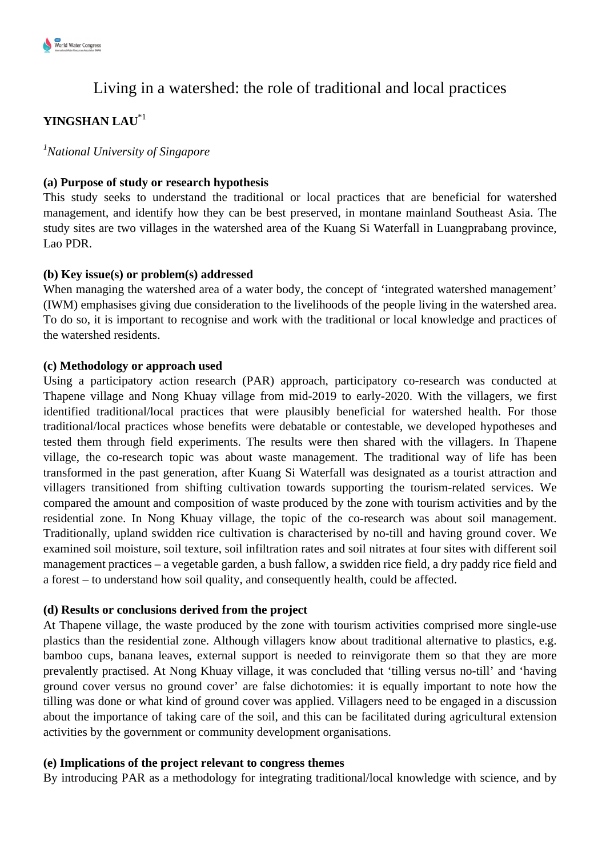

# Living in a watershed: the role of traditional and local practices

# **YINGSHAN LAU**\*1

*<sup>1</sup>National University of Singapore*

# **(a) Purpose of study or research hypothesis**

This study seeks to understand the traditional or local practices that are beneficial for watershed management, and identify how they can be best preserved, in montane mainland Southeast Asia. The study sites are two villages in the watershed area of the Kuang Si Waterfall in Luangprabang province, Lao PDR.

## **(b) Key issue(s) or problem(s) addressed**

When managing the watershed area of a water body, the concept of 'integrated watershed management' (IWM) emphasises giving due consideration to the livelihoods of the people living in the watershed area. To do so, it is important to recognise and work with the traditional or local knowledge and practices of the watershed residents.

### **(c) Methodology or approach used**

Using a participatory action research (PAR) approach, participatory co-research was conducted at Thapene village and Nong Khuay village from mid-2019 to early-2020. With the villagers, we first identified traditional/local practices that were plausibly beneficial for watershed health. For those traditional/local practices whose benefits were debatable or contestable, we developed hypotheses and tested them through field experiments. The results were then shared with the villagers. In Thapene village, the co-research topic was about waste management. The traditional way of life has been transformed in the past generation, after Kuang Si Waterfall was designated as a tourist attraction and villagers transitioned from shifting cultivation towards supporting the tourism-related services. We compared the amount and composition of waste produced by the zone with tourism activities and by the residential zone. In Nong Khuay village, the topic of the co-research was about soil management. Traditionally, upland swidden rice cultivation is characterised by no-till and having ground cover. We examined soil moisture, soil texture, soil infiltration rates and soil nitrates at four sites with different soil management practices – a vegetable garden, a bush fallow, a swidden rice field, a dry paddy rice field and a forest – to understand how soil quality, and consequently health, could be affected.

### **(d) Results or conclusions derived from the project**

At Thapene village, the waste produced by the zone with tourism activities comprised more single-use plastics than the residential zone. Although villagers know about traditional alternative to plastics, e.g. bamboo cups, banana leaves, external support is needed to reinvigorate them so that they are more prevalently practised. At Nong Khuay village, it was concluded that 'tilling versus no-till' and 'having ground cover versus no ground cover' are false dichotomies: it is equally important to note how the tilling was done or what kind of ground cover was applied. Villagers need to be engaged in a discussion about the importance of taking care of the soil, and this can be facilitated during agricultural extension activities by the government or community development organisations.

### **(e) Implications of the project relevant to congress themes**

By introducing PAR as a methodology for integrating traditional/local knowledge with science, and by